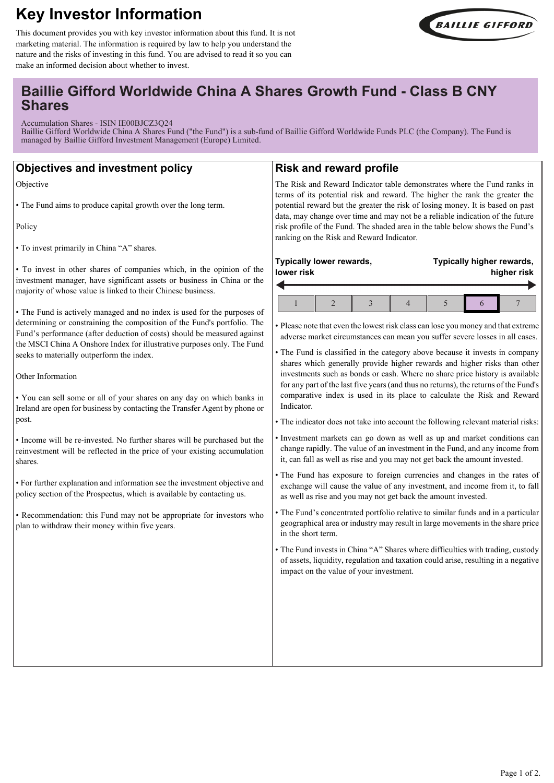# **Key Investor Information**



This document provides you with key investor information about this fund. It is not marketing material. The information is required by law to help you understand the nature and the risks of investing in this fund. You are advised to read it so you can make an informed decision about whether to invest.

## **Baillie Gifford Worldwide China A Shares Growth Fund - Class B CNY Shares**

Accumulation Shares - ISIN IE00BJCZ3Q24

Baillie Gifford Worldwide China A Shares Fund ("the Fund") is a sub-fund of Baillie Gifford Worldwide Funds PLC (the Company). The Fund is managed by Baillie Gifford Investment Management (Europe) Limited.

## **Objectives and investment policy**

Objective

• The Fund aims to produce capital growth over the long term.

Policy

• To invest primarily in China "A" shares.

• To invest in other shares of companies which, in the opinion of the investment manager, have significant assets or business in China or the majority of whose value is linked to their Chinese business.

• The Fund is actively managed and no index is used for the purposes of determining or constraining the composition of the Fund's portfolio. The Fund's performance (after deduction of costs) should be measured against the MSCI China A Onshore Index for illustrative purposes only. The Fund seeks to materially outperform the index.

Other Information

• You can sell some or all of your shares on any day on which banks in Ireland are open for business by contacting the Transfer Agent by phone or post.

• Income will be re-invested. No further shares will be purchased but the reinvestment will be reflected in the price of your existing accumulation shares.

• For further explanation and information see the investment objective and policy section of the Prospectus, which is available by contacting us.

• Recommendation: this Fund may not be appropriate for investors who plan to withdraw their money within five years.

### **Risk and reward profile**

The Risk and Reward Indicator table demonstrates where the Fund ranks in terms of its potential risk and reward. The higher the rank the greater the potential reward but the greater the risk of losing money. It is based on past data, may change over time and may not be a reliable indication of the future risk profile of the Fund. The shaded area in the table below shows the Fund's ranking on the Risk and Reward Indicator.

| Typically lower rewards, |  |  |  |  | Typically higher rewards, |  |  |  |
|--------------------------|--|--|--|--|---------------------------|--|--|--|
| lower risk               |  |  |  |  | higher risk               |  |  |  |
|                          |  |  |  |  |                           |  |  |  |

• Please note that even the lowest risk class can lose you money and that extreme adverse market circumstances can mean you suffer severe losses in all cases.

• The Fund is classified in the category above because it invests in company shares which generally provide higher rewards and higher risks than other investments such as bonds or cash. Where no share price history is available for any part of the last five years (and thus no returns), the returns of the Fund's comparative index is used in its place to calculate the Risk and Reward Indicator.

• The indicator does not take into account the following relevant material risks:

• Investment markets can go down as well as up and market conditions can change rapidly. The value of an investment in the Fund, and any income from it, can fall as well as rise and you may not get back the amount invested.

• The Fund has exposure to foreign currencies and changes in the rates of exchange will cause the value of any investment, and income from it, to fall as well as rise and you may not get back the amount invested.

- The Fund's concentrated portfolio relative to similar funds and in a particular geographical area or industry may result in large movements in the share price in the short term.
- The Fund invests in China "A" Shares where difficulties with trading, custody of assets, liquidity, regulation and taxation could arise, resulting in a negative impact on the value of your investment.